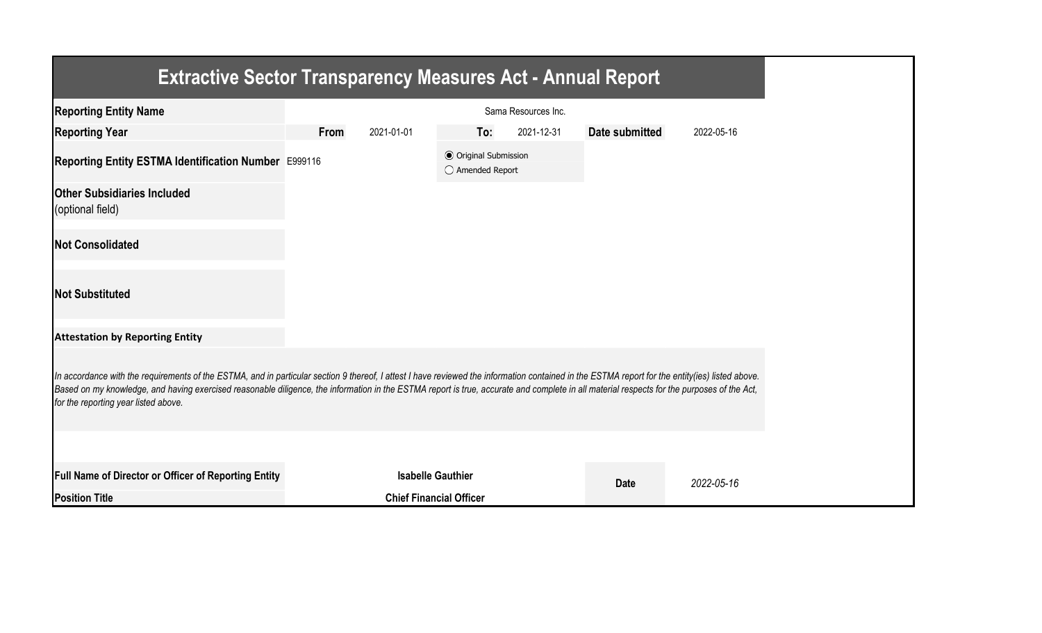| <b>Extractive Sector Transparency Measures Act - Annual Report</b>                                                                                                                                                                                                                                                                                                                                                                    |      |                                |                                                  |                     |                |            |
|---------------------------------------------------------------------------------------------------------------------------------------------------------------------------------------------------------------------------------------------------------------------------------------------------------------------------------------------------------------------------------------------------------------------------------------|------|--------------------------------|--------------------------------------------------|---------------------|----------------|------------|
| <b>Reporting Entity Name</b>                                                                                                                                                                                                                                                                                                                                                                                                          |      |                                |                                                  | Sama Resources Inc. |                |            |
| <b>Reporting Year</b>                                                                                                                                                                                                                                                                                                                                                                                                                 | From | 2021-01-01                     | To:                                              | 2021-12-31          | Date submitted | 2022-05-16 |
| Reporting Entity ESTMA Identification Number E999116                                                                                                                                                                                                                                                                                                                                                                                  |      |                                | <b>◎</b> Original Submission<br>○ Amended Report |                     |                |            |
| <b>Other Subsidiaries Included</b><br>(optional field)                                                                                                                                                                                                                                                                                                                                                                                |      |                                |                                                  |                     |                |            |
| <b>Not Consolidated</b>                                                                                                                                                                                                                                                                                                                                                                                                               |      |                                |                                                  |                     |                |            |
| <b>Not Substituted</b>                                                                                                                                                                                                                                                                                                                                                                                                                |      |                                |                                                  |                     |                |            |
| <b>Attestation by Reporting Entity</b>                                                                                                                                                                                                                                                                                                                                                                                                |      |                                |                                                  |                     |                |            |
| In accordance with the requirements of the ESTMA, and in particular section 9 thereof, I attest I have reviewed the information contained in the ESTMA report for the entity(ies) listed above.<br>Based on my knowledge, and having exercised reasonable diligence, the information in the ESTMA report is true, accurate and complete in all material respects for the purposes of the Act,<br>for the reporting year listed above. |      |                                |                                                  |                     |                |            |
|                                                                                                                                                                                                                                                                                                                                                                                                                                       |      |                                |                                                  |                     |                |            |
| Full Name of Director or Officer of Reporting Entity                                                                                                                                                                                                                                                                                                                                                                                  |      | <b>Isabelle Gauthier</b>       |                                                  |                     | <b>Date</b>    | 2022-05-16 |
| <b>Position Title</b>                                                                                                                                                                                                                                                                                                                                                                                                                 |      | <b>Chief Financial Officer</b> |                                                  |                     |                |            |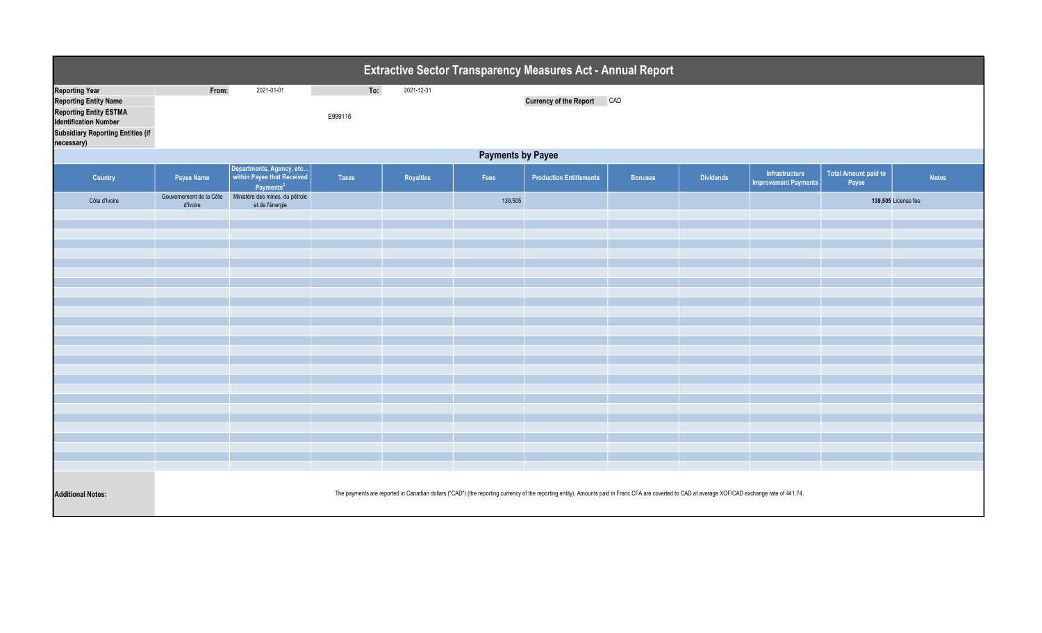| Extractive Sector Transparency Measures Act - Annual Report                                                                                                                      |                                                                                                                                                                                                   |                                                                                 |                |            |         |                                |                |                  |                                               |                                      |                     |  |
|----------------------------------------------------------------------------------------------------------------------------------------------------------------------------------|---------------------------------------------------------------------------------------------------------------------------------------------------------------------------------------------------|---------------------------------------------------------------------------------|----------------|------------|---------|--------------------------------|----------------|------------------|-----------------------------------------------|--------------------------------------|---------------------|--|
| <b>Reporting Year</b><br><b>Reporting Entity Name</b><br><b>Reporting Entity ESTMA</b><br><b>Identification Number</b><br><b>Subsidiary Reporting Entities (if</b><br>necessary) | From:                                                                                                                                                                                             | 2021-01-01                                                                      | To:<br>E999116 | 2021-12-31 |         | <b>Currency of the Report</b>  | CAD            |                  |                                               |                                      |                     |  |
| <b>Payments by Payee</b>                                                                                                                                                         |                                                                                                                                                                                                   |                                                                                 |                |            |         |                                |                |                  |                                               |                                      |                     |  |
| Country                                                                                                                                                                          | Payee Name                                                                                                                                                                                        | Departments, Agency, etc<br>within Payee that Received<br>Payments <sup>2</sup> | Taxes          | Royalties  | Fees    | <b>Production Entitlements</b> | <b>Bonuses</b> | <b>Dividends</b> | Infrastructure<br><b>Improvement Payments</b> | <b>Total Amount paid to</b><br>Payee | <b>Notes</b>        |  |
| Côte d'Ivoire                                                                                                                                                                    | Gouvernement de la Côte<br>d'Ivoire                                                                                                                                                               | Ministère des mines, du pétrole<br>et de l'énergie                              |                |            | 139,505 |                                |                |                  |                                               |                                      | 139,505 License fee |  |
|                                                                                                                                                                                  |                                                                                                                                                                                                   |                                                                                 |                |            |         |                                |                |                  |                                               |                                      |                     |  |
|                                                                                                                                                                                  |                                                                                                                                                                                                   |                                                                                 |                |            |         |                                |                |                  |                                               |                                      |                     |  |
|                                                                                                                                                                                  |                                                                                                                                                                                                   |                                                                                 |                |            |         |                                |                |                  |                                               |                                      |                     |  |
|                                                                                                                                                                                  |                                                                                                                                                                                                   |                                                                                 |                |            |         |                                |                |                  |                                               |                                      |                     |  |
|                                                                                                                                                                                  |                                                                                                                                                                                                   |                                                                                 |                |            |         |                                |                |                  |                                               |                                      |                     |  |
|                                                                                                                                                                                  |                                                                                                                                                                                                   |                                                                                 |                |            |         |                                |                |                  |                                               |                                      |                     |  |
|                                                                                                                                                                                  |                                                                                                                                                                                                   |                                                                                 |                |            |         |                                |                |                  |                                               |                                      |                     |  |
|                                                                                                                                                                                  |                                                                                                                                                                                                   |                                                                                 |                |            |         |                                |                |                  |                                               |                                      |                     |  |
|                                                                                                                                                                                  |                                                                                                                                                                                                   |                                                                                 |                |            |         |                                |                |                  |                                               |                                      |                     |  |
|                                                                                                                                                                                  |                                                                                                                                                                                                   |                                                                                 |                |            |         |                                |                |                  |                                               |                                      |                     |  |
|                                                                                                                                                                                  |                                                                                                                                                                                                   |                                                                                 |                |            |         |                                |                |                  |                                               |                                      |                     |  |
|                                                                                                                                                                                  |                                                                                                                                                                                                   |                                                                                 |                |            |         |                                |                |                  |                                               |                                      |                     |  |
|                                                                                                                                                                                  |                                                                                                                                                                                                   |                                                                                 |                |            |         |                                |                |                  |                                               |                                      |                     |  |
|                                                                                                                                                                                  |                                                                                                                                                                                                   |                                                                                 |                |            |         |                                |                |                  |                                               |                                      |                     |  |
| <b>Additional Notes:</b>                                                                                                                                                         | The payments are reported in Canadian dollars ("CAD") (the reporting currency of the reporting entity). Amounts paid in Franc CFA are coverted to CAD at average XOF/CAD exchange rate of 441.74. |                                                                                 |                |            |         |                                |                |                  |                                               |                                      |                     |  |